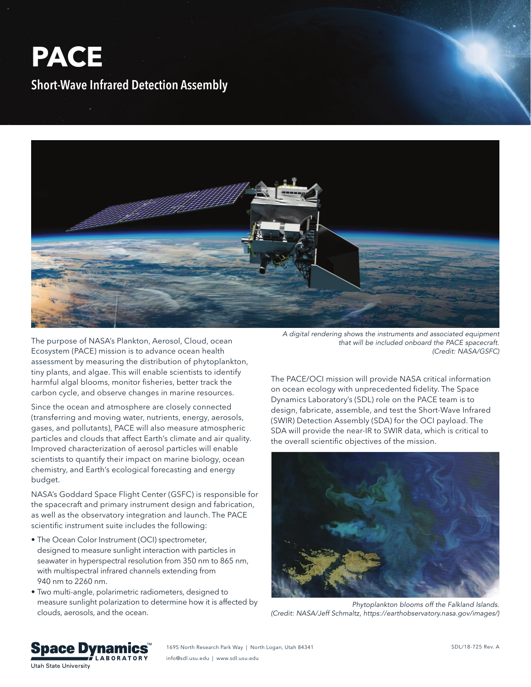## **PACE Short-Wave Infrared Detection Assembly**



The purpose of NASA's Plankton, Aerosol, Cloud, ocean Ecosystem (PACE) mission is to advance ocean health assessment by measuring the distribution of phytoplankton, tiny plants, and algae. This will enable scientists to identify harmful algal blooms, monitor fisheries, better track the carbon cycle, and observe changes in marine resources.

Since the ocean and atmosphere are closely connected (transferring and moving water, nutrients, energy, aerosols, gases, and pollutants), PACE will also measure atmospheric particles and clouds that affect Earth's climate and air quality. Improved characterization of aerosol particles will enable scientists to quantify their impact on marine biology, ocean chemistry, and Earth's ecological forecasting and energy budget.

NASA's Goddard Space Flight Center (GSFC) is responsible for the spacecraft and primary instrument design and fabrication, as well as the observatory integration and launch. The PACE scientific instrument suite includes the following:

- The Ocean Color Instrument (OCI) spectrometer, designed to measure sunlight interaction with particles in seawater in hyperspectral resolution from 350 nm to 865 nm, with multispectral infrared channels extending from 940 nm to 2260 nm.
- Two multi-angle, polarimetric radiometers, designed to measure sunlight polarization to determine how it is affected by clouds, aerosols, and the ocean.

*A digital rendering shows the instruments and associated equipment that will be included onboard the PACE spacecraft. (Credit: NASA/GSFC)*

The PACE/OCI mission will provide NASA critical information on ocean ecology with unprecedented fidelity. The Space Dynamics Laboratory's (SDL) role on the PACE team is to design, fabricate, assemble, and test the Short-Wave Infrared (SWIR) Detection Assembly (SDA) for the OCI payload. The SDA will provide the near-IR to SWIR data, which is critical to the overall scientific objectives of the mission.



*Phytoplankton blooms off the Falkland Islands. (Credit: NASA/Jeff Schmaltz, https://earthobservatory.nasa.gov/images/)*



1695 North Research Park Way | North Logan, Utah 84341 info@sdl.usu.edu | www.sdl.usu.edu